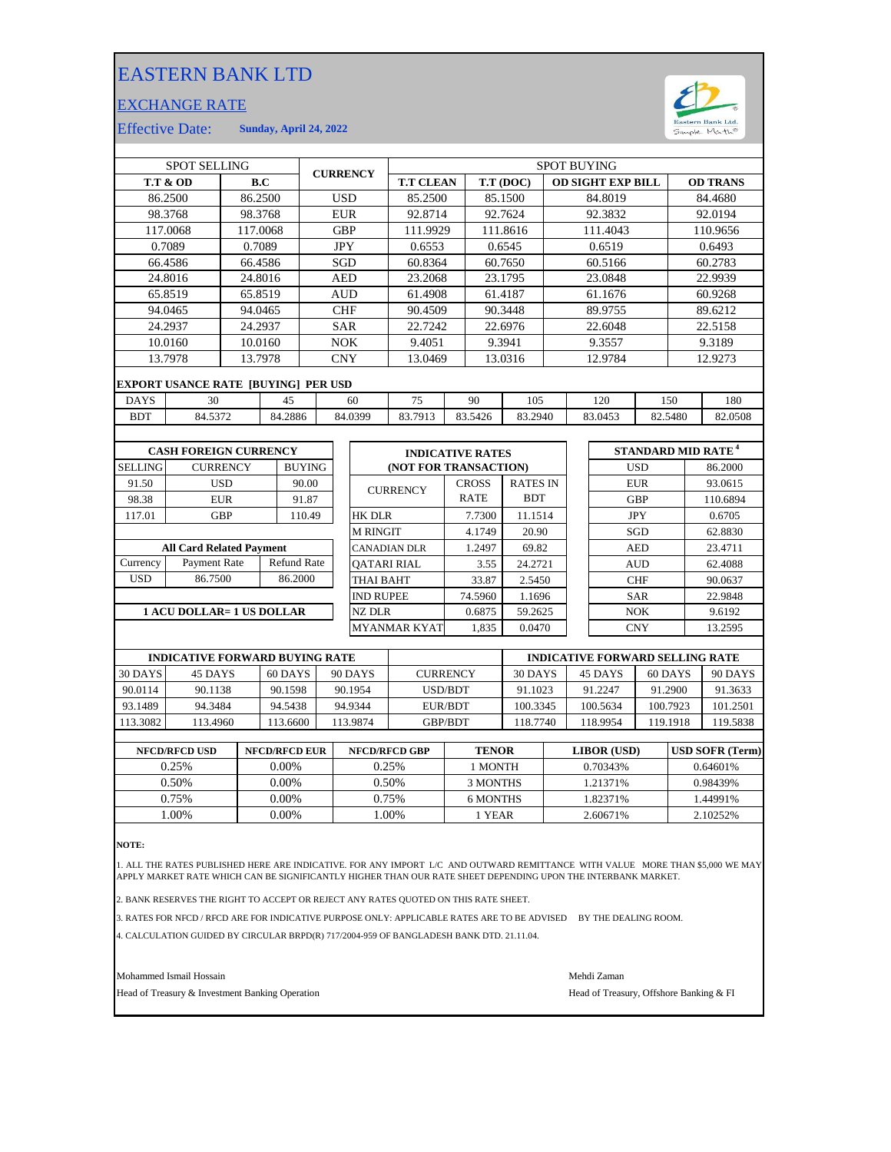## EASTERN BANK LTD

## EXCHANGE RATE



Effective Date: **Sunday, April 24, 2022**

| <b>SPOT SELLING</b>                   |                                            |                 |         |                    | <b>CURRENCY</b> |                  |                    | <b>SPOT BUYING</b>                     |           |              |                          |     |         |                                |            |          |          |
|---------------------------------------|--------------------------------------------|-----------------|---------|--------------------|-----------------|------------------|--------------------|----------------------------------------|-----------|--------------|--------------------------|-----|---------|--------------------------------|------------|----------|----------|
| <b>T.T &amp; OD</b>                   |                                            | B.C             |         |                    |                 | <b>T.T CLEAN</b> |                    |                                        | T.T (DOC) |              | <b>OD SIGHT EXP BILL</b> |     |         | <b>OD TRANS</b>                |            |          |          |
|                                       | 86.2500                                    | 86.2500         |         |                    |                 | <b>USD</b>       |                    | 85.2500                                |           |              | 85.1500                  |     |         | 84.8019                        |            |          | 84.4680  |
|                                       | 98.3768                                    | 98.3768         |         |                    |                 | <b>EUR</b>       |                    | 92.8714                                |           |              | 92.7624                  |     |         | 92.3832                        |            |          | 92.0194  |
|                                       | 117.0068                                   | 117.0068        |         |                    |                 | <b>GBP</b>       |                    | 111.9929                               |           |              | 111.8616                 |     |         | 111.4043                       |            |          | 110.9656 |
|                                       | 0.7089                                     |                 | 0.7089  |                    |                 | <b>JPY</b>       |                    | 0.6553                                 |           |              | 0.6545                   |     |         | 0.6519                         |            |          | 0.6493   |
|                                       | 66.4586                                    | 66.4586         |         |                    |                 | <b>SGD</b>       |                    | 60.8364                                |           |              | 60.7650                  |     |         | 60.5166                        |            |          | 60.2783  |
|                                       | 24.8016                                    | 24.8016         |         |                    |                 | <b>AED</b>       |                    | 23.2068                                |           |              | 23.1795                  |     |         | 23.0848                        |            |          | 22.9939  |
|                                       | 65.8519                                    | 65.8519         |         |                    |                 | <b>AUD</b>       |                    | 61.4908                                |           |              | 61.4187                  |     |         | 61.1676                        |            |          | 60.9268  |
|                                       | 94.0465                                    | 94.0465         |         |                    |                 | <b>CHF</b>       |                    | 90.4509                                |           |              | 90.3448                  |     |         | 89.9755                        |            |          | 89.6212  |
|                                       | 24.2937                                    |                 | 24.2937 |                    | <b>SAR</b>      |                  | 22.7242            |                                        | 22.6976   |              | 22.6048                  |     |         | 22.5158                        |            |          |          |
|                                       | 10.0160                                    |                 | 10.0160 |                    | <b>NOK</b>      |                  | 9.4051             |                                        |           | 9.3941       |                          |     | 9.3557  |                                | 9.3189     |          |          |
|                                       | 13.7978<br>13.7978                         |                 |         |                    |                 | <b>CNY</b>       |                    | 13.0469                                |           | 13.0316      |                          |     | 12.9784 |                                |            | 12.9273  |          |
|                                       | <b>EXPORT USANCE RATE [BUYING] PER USD</b> |                 |         |                    |                 |                  |                    |                                        |           |              |                          |     |         |                                |            |          |          |
| <b>DAYS</b>                           | 30<br>45                                   |                 |         |                    | 60              |                  | 75                 |                                        | 90<br>105 |              |                          | 120 |         |                                | 150        | 180      |          |
| <b>BDT</b>                            |                                            | 84.5372         |         | 84.2886            | 84.0399         |                  | 83.7913            |                                        | 83.5426   | 83.2940      |                          |     | 83.0453 | 82.5480                        |            | 82.0508  |          |
|                                       |                                            |                 |         |                    |                 |                  |                    |                                        |           |              |                          |     |         |                                |            |          |          |
| <b>CASH FOREIGN CURRENCY</b>          |                                            |                 |         |                    |                 |                  |                    | <b>INDICATIVE RATES</b>                |           |              |                          |     |         | STANDARD MID RATE <sup>4</sup> |            |          |          |
| SELLING                               |                                            | <b>CURRENCY</b> |         | <b>BUYING</b>      |                 |                  |                    | (NOT FOR TRANSACTION)                  |           |              |                          |     |         |                                | <b>USD</b> |          | 86.2000  |
| 91.50                                 |                                            | <b>USD</b>      |         | 90.00              |                 |                  |                    |                                        |           | <b>CROSS</b> | <b>RATES IN</b>          |     |         |                                | <b>EUR</b> |          | 93.0615  |
| 98.38                                 |                                            | <b>EUR</b>      |         | 91.87              |                 |                  |                    | <b>CURRENCY</b>                        |           | <b>RATE</b>  | <b>BDT</b>               |     |         |                                | <b>GBP</b> |          | 110.6894 |
| 117.01                                |                                            | <b>GBP</b>      |         | 110.49             |                 |                  | <b>HK DLR</b>      |                                        |           | 7.7300       | 11.1514                  |     |         |                                | <b>JPY</b> |          | 0.6705   |
|                                       |                                            |                 |         |                    |                 |                  | <b>M RINGIT</b>    |                                        |           | 4.1749       | 20.90                    |     |         |                                | SGD        |          | 62.8830  |
|                                       | <b>All Card Related Payment</b>            |                 |         |                    |                 |                  |                    | <b>CANADIAN DLR</b>                    |           | 1.2497       | 69.82                    |     |         |                                | <b>AED</b> |          | 23.4711  |
| Currency                              | Payment Rate                               |                 |         | <b>Refund Rate</b> |                 |                  | <b>OATARI RIAL</b> |                                        |           | 3.55         | 24.2721                  |     |         |                                | <b>AUD</b> |          | 62.4088  |
| <b>USD</b>                            | 86.7500                                    |                 |         | 86.2000            |                 |                  | <b>THAI BAHT</b>   |                                        |           | 33.87        | 2.5450                   |     |         | <b>CHF</b>                     |            | 90.0637  |          |
|                                       |                                            |                 |         |                    |                 |                  | <b>IND RUPEE</b>   |                                        |           | 74.5960      | 1.1696                   |     |         |                                | <b>SAR</b> |          | 22.9848  |
| 1 ACU DOLLAR= 1 US DOLLAR             |                                            |                 |         |                    |                 |                  | NZ DLR             |                                        |           | 0.6875       | 59.2625                  |     |         |                                | <b>NOK</b> |          | 9.6192   |
|                                       |                                            |                 |         |                    |                 |                  |                    | <b>MYANMAR KYAT</b>                    |           | 1.835        | 0.0470                   |     |         |                                | <b>CNY</b> |          | 13.2595  |
|                                       |                                            |                 |         |                    |                 |                  |                    |                                        |           |              |                          |     |         |                                |            |          |          |
| <b>INDICATIVE FORWARD BUYING RATE</b> |                                            |                 |         |                    |                 |                  |                    | <b>INDICATIVE FORWARD SELLING RATE</b> |           |              |                          |     |         |                                |            |          |          |
| 30 DAYS                               | 45 DAYS                                    |                 |         | 60 DAYS            | 90 DAYS         |                  |                    | <b>CURRENCY</b>                        |           |              | 30 DAYS                  |     |         | 45 DAYS                        | 60 DAYS    |          | 90 DAYS  |
| 90.0114                               | 90.1138                                    |                 |         | 90.1598            |                 |                  | 90.1954            | <b>USD/BDT</b>                         |           |              | 91.1023                  |     |         | 91.2247                        | 91.2900    |          | 91.3633  |
| 93.1489                               | 94.3484                                    |                 |         | 94.5438            |                 |                  | 94.9344            | <b>EUR/BDT</b>                         |           |              | 100.3345                 |     |         | 100.5634                       |            | 100.7923 | 101.2501 |
| 113.3082                              | 113.4960                                   |                 |         | 113.6600           |                 |                  | 113.9874           | GBP/BDT                                |           |              | 118.7740                 |     |         | 118.9954                       |            | 119.1918 | 119.5838 |
|                                       |                                            |                 |         |                    |                 |                  |                    |                                        |           |              |                          |     |         |                                |            |          |          |

| <b>NFCD/RFCD USD</b> | <b>NFCD/RFCD EUR</b> | <b>NFCD/RFCD GBP</b> | <b>TENOR</b> | LIBOR (USD) | <b>USD SOFR (Term)</b> |
|----------------------|----------------------|----------------------|--------------|-------------|------------------------|
| 0.25%                | $0.00\%$             | 0.25%                | I MONTH      | 0.70343%    | 0.64601%               |
| 0.50%                | 0.00%                | 0.50%                | 3 MONTHS     | 1.21371%    | 0.98439%               |
| 0.75%                | 0.00%                | 0.75%                | 6 MONTHS     | 1.82371%    | 1.44991%               |
| .00%                 | 0.00%                | .00%                 | 1 YEAR       | 2.60671%    | 2.10252\%              |

**NOTE:**

1. ALL THE RATES PUBLISHED HERE ARE INDICATIVE. FOR ANY IMPORT L/C AND OUTWARD REMITTANCE WITH VALUE MORE THAN \$5,000 WE MAY APPLY MARKET RATE WHICH CAN BE SIGNIFICANTLY HIGHER THAN OUR RATE SHEET DEPENDING UPON THE INTERBANK MARKET.

2. BANK RESERVES THE RIGHT TO ACCEPT OR REJECT ANY RATES QUOTED ON THIS RATE SHEET.

3. RATES FOR NFCD / RFCD ARE FOR INDICATIVE PURPOSE ONLY: APPLICABLE RATES ARE TO BE ADVISED BY THE DEALING ROOM.

4. CALCULATION GUIDED BY CIRCULAR BRPD(R) 717/2004-959 OF BANGLADESH BANK DTD. 21.11.04.

Mohammed Ismail Hossain Mehdi Zaman

Head of Treasury & Investment Banking Operation **Head of Treasury, Offshore Banking & FI**